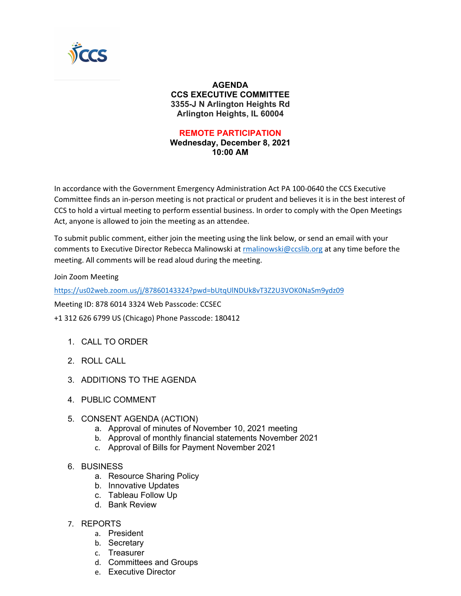

## **AGENDA CCS EXECUTIVE COMMITTEE 3355-J N Arlington Heights Rd Arlington Heights, IL 60004**

## **REMOTE PARTICIPATION**

**Wednesday, December 8, 2021 10:00 AM**

In accordance with the Government Emergency Administration Act PA 100-0640 the CCS Executive Committee finds an in-person meeting is not practical or prudent and believes it is in the best interest of CCS to hold a virtual meeting to perform essential business. In order to comply with the Open Meetings Act, anyone is allowed to join the meeting as an attendee.

To submit public comment, either join the meeting using the link below, or send an email with your comments to Executive Director Rebecca Malinowski at [rmalinowski@ccslib.org](mailto:rmalinowski@ccslib.org) at any time before the meeting. All comments will be read aloud during the meeting.

Join Zoom Meeting

<https://us02web.zoom.us/j/87860143324?pwd=bUtqUlNDUk8vT3Z2U3VOK0NaSm9ydz09>

Meeting ID: 878 6014 3324 Web Passcode: CCSEC

+1 312 626 6799 US (Chicago) Phone Passcode: 180412

- 1. CALL TO ORDER
- 2. ROLL CALL
- 3. ADDITIONS TO THE AGENDA
- 4. PUBLIC COMMENT
- 5. CONSENT AGENDA (ACTION)
	- a. Approval of minutes of November 10, 2021 meeting
	- b. Approval of monthly financial statements November 2021
	- c. Approval of Bills for Payment November 2021
- 6. BUSINESS
	- a. Resource Sharing Policy
	- b. Innovative Updates
	- c. Tableau Follow Up
	- d. Bank Review
- 7. REPORTS
	- a. President
	- b. Secretary
	- c. Treasurer
	- d. Committees and Groups
	- e. Executive Director